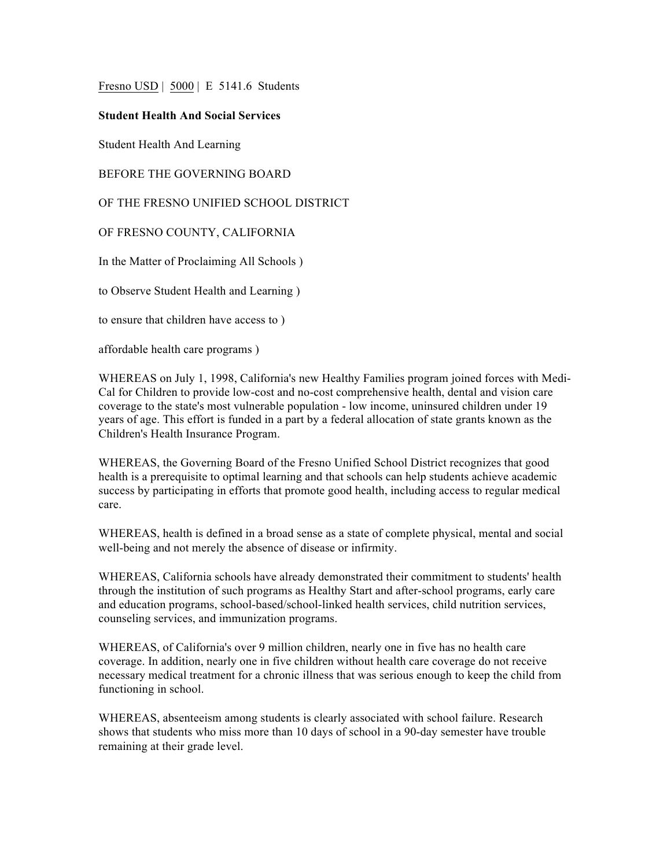Fresno USD | 5000 | E 5141.6 Students

## **Student Health And Social Services**

Student Health And Learning

BEFORE THE GOVERNING BOARD

OF THE FRESNO UNIFIED SCHOOL DISTRICT

OF FRESNO COUNTY, CALIFORNIA

In the Matter of Proclaiming All Schools )

to Observe Student Health and Learning )

to ensure that children have access to )

affordable health care programs )

WHEREAS on July 1, 1998, California's new Healthy Families program joined forces with Medi-Cal for Children to provide low-cost and no-cost comprehensive health, dental and vision care coverage to the state's most vulnerable population - low income, uninsured children under 19 years of age. This effort is funded in a part by a federal allocation of state grants known as the Children's Health Insurance Program.

WHEREAS, the Governing Board of the Fresno Unified School District recognizes that good health is a prerequisite to optimal learning and that schools can help students achieve academic success by participating in efforts that promote good health, including access to regular medical care.

WHEREAS, health is defined in a broad sense as a state of complete physical, mental and social well-being and not merely the absence of disease or infirmity.

WHEREAS, California schools have already demonstrated their commitment to students' health through the institution of such programs as Healthy Start and after-school programs, early care and education programs, school-based/school-linked health services, child nutrition services, counseling services, and immunization programs.

WHEREAS, of California's over 9 million children, nearly one in five has no health care coverage. In addition, nearly one in five children without health care coverage do not receive necessary medical treatment for a chronic illness that was serious enough to keep the child from functioning in school.

WHEREAS, absenteeism among students is clearly associated with school failure. Research shows that students who miss more than 10 days of school in a 90-day semester have trouble remaining at their grade level.